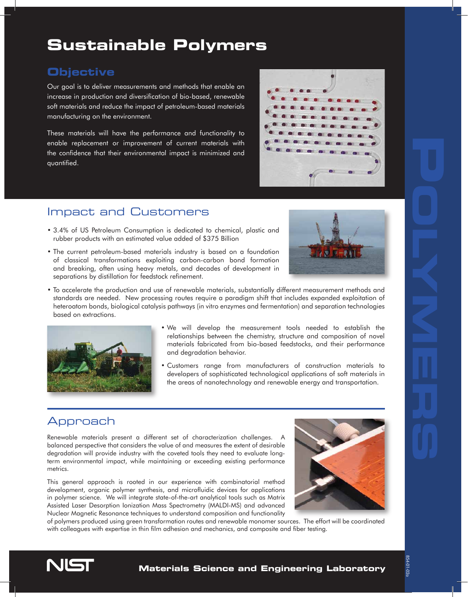# **Sustainable Polymers**

### **Objective**

Our goal is to deliver measurements and methods that enable an increase in production and diversification of bio-based, renewable soft materials and reduce the impact of petroleum-based materials manufacturing on the environment.

These materials will have the performance and functionality to enable replacement or improvement of current materials with the confidence that their environmental impact is minimized and quantified.

## Impact and Customers

- 3.4% of US Petroleum Consumption is dedicated to chemical, plastic and rubber products with an estimated value added of \$375 Billion
- The current petroleum-based materials industry is based on a foundation of classical transformations exploiting carbon-carbon bond formation and breaking, often using heavy metals, and decades of development in separations by distillation for feedstock refinement.



• To accelerate the production and use of renewable materials, substantially different measurement methods and standards are needed. New processing routes require a paradigm shift that includes expanded exploitation of heteroatom bonds, biological catalysis pathways (in vitro enzymes and fermentation) and separation technologies based on extractions.



- We will develop the measurement tools needed to establish the relationships between the chemistry, structure and composition of novel materials fabricated from bio-based feedstocks, and their performance and degradation behavior.
- Customers range from manufacturers of construction materials to developers of sophisticated technological applications of soft materials in the areas of nanotechnology and renewable energy and transportation.

## Approach

Renewable materials present a different set of characterization challenges. A balanced perspective that considers the value of and measures the extent of desirable degradation will provide industry with the coveted tools they need to evaluate longterm environmental impact, while maintaining or exceeding existing performance metrics.

This general approach is rooted in our experience with combinatorial method development, organic polymer synthesis, and microfluidic devices for applications in polymer science. We will integrate state-of-the-art analytical tools such as Matrix Assisted Laser Desorption Ionization Mass Spectrometry (MALDI-MS) and advanced Nuclear Magnetic Resonance techniques to understand composition and functionality



of polymers produced using green transformation routes and renewable monomer sources. The effort will be coordinated with colleagues with expertise in thin film adhesion and mechanics, and composite and fiber testing.

854-01-02a

854-01-02